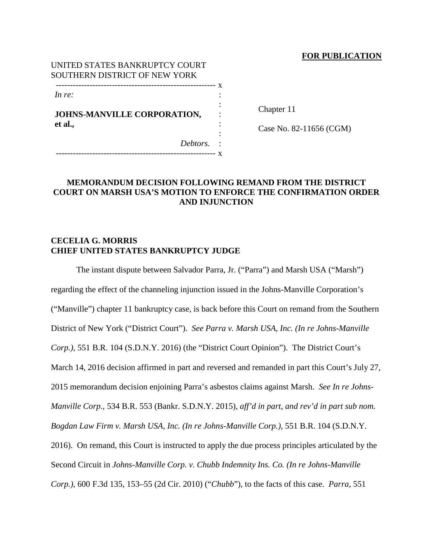## **FOR PUBLICATION**

| UNITED STATES BANKRUPTCY COURT |  |
|--------------------------------|--|
| SOUTHERN DISTRICT OF NEW YORK  |  |
|                                |  |
| In re:                         |  |
|                                |  |
| JOHNS-MANVILLE CORPORATION,    |  |
| et al.,                        |  |
|                                |  |
| Debtors.                       |  |

--------------------------------------------------------- x

Chapter 11

Case No. 82-11656 (CGM)

# **MEMORANDUM DECISION FOLLOWING REMAND FROM THE DISTRICT COURT ON MARSH USA'S MOTION TO ENFORCE THE CONFIRMATION ORDER AND INJUNCTION**

# **CECELIA G. MORRIS CHIEF UNITED STATES BANKRUPTCY JUDGE**

The instant dispute between Salvador Parra, Jr. ("Parra") and Marsh USA ("Marsh") regarding the effect of the channeling injunction issued in the Johns-Manville Corporation's ("Manville") chapter 11 bankruptcy case, is back before this Court on remand from the Southern District of New York ("District Court"). *See Parra v. Marsh USA, Inc. (In re Johns-Manville Corp.)*, 551 B.R. 104 (S.D.N.Y. 2016) (the "District Court Opinion"). The District Court's March 14, 2016 decision affirmed in part and reversed and remanded in part this Court's July 27, 2015 memorandum decision enjoining Parra's asbestos claims against Marsh. *See In re Johns-Manville Corp.*, 534 B.R. 553 (Bankr. S.D.N.Y. 2015), *aff'd in part, and rev'd in part sub nom. Bogdan Law Firm v. Marsh USA, Inc. (In re Johns-Manville Corp.)*, 551 B.R. 104 (S.D.N.Y. 2016). On remand, this Court is instructed to apply the due process principles articulated by the Second Circuit in *Johns-Manville Corp. v. Chubb Indemnity Ins. Co. (In re Johns-Manville Corp.)*, 600 F.3d 135, 153–55 (2d Cir. 2010) ("*Chubb*"), to the facts of this case. *Parra*, 551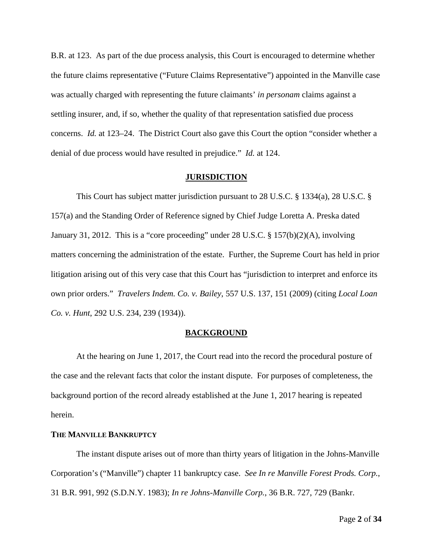B.R. at 123. As part of the due process analysis, this Court is encouraged to determine whether the future claims representative ("Future Claims Representative") appointed in the Manville case was actually charged with representing the future claimants' *in personam* claims against a settling insurer, and, if so, whether the quality of that representation satisfied due process concerns. *Id.* at 123–24. The District Court also gave this Court the option "consider whether a denial of due process would have resulted in prejudice." *Id.* at 124.

#### **JURISDICTION**

This Court has subject matter jurisdiction pursuant to 28 U.S.C. § 1334(a), 28 U.S.C. § 157(a) and the Standing Order of Reference signed by Chief Judge Loretta A. Preska dated January 31, 2012. This is a "core proceeding" under 28 U.S.C. § 157(b)(2)(A), involving matters concerning the administration of the estate. Further, the Supreme Court has held in prior litigation arising out of this very case that this Court has "jurisdiction to interpret and enforce its own prior orders." *Travelers Indem. Co. v. Bailey*, 557 U.S. 137, 151 (2009) (citing *Local Loan Co. v. Hunt*, 292 U.S. 234, 239 (1934)).

#### **BACKGROUND**

At the hearing on June 1, 2017, the Court read into the record the procedural posture of the case and the relevant facts that color the instant dispute. For purposes of completeness, the background portion of the record already established at the June 1, 2017 hearing is repeated herein.

#### **THE MANVILLE BANKRUPTCY**

The instant dispute arises out of more than thirty years of litigation in the Johns-Manville Corporation's ("Manville") chapter 11 bankruptcy case. *See In re Manville Forest Prods. Corp.*, 31 B.R. 991, 992 (S.D.N.Y. 1983); *In re Johns-Manville Corp.*, 36 B.R. 727, 729 (Bankr.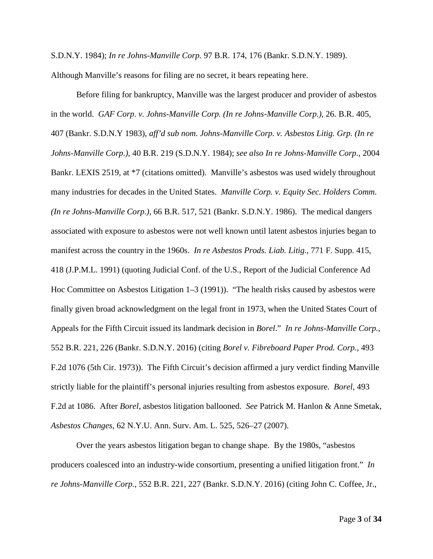S.D.N.Y. 1984); *In re Johns-Manville Corp.* 97 B.R. 174, 176 (Bankr. S.D.N.Y. 1989).

Although Manville's reasons for filing are no secret, it bears repeating here.

Before filing for bankruptcy, Manville was the largest producer and provider of asbestos in the world. *GAF Corp. v. Johns-Manville Corp. (In re Johns-Manville Corp.)*, 26. B.R. 405, 407 (Bankr. S.D.N.Y 1983), *aff'd sub nom. Johns-Manville Corp. v. Asbestos Litig. Grp. (In re Johns-Manville Corp.)*, 40 B.R. 219 (S.D.N.Y. 1984); *see also In re Johns-Manville Corp.*, 2004 Bankr. LEXIS 2519, at \*7 (citations omitted). Manville's asbestos was used widely throughout many industries for decades in the United States. *Manville Corp. v. Equity Sec. Holders Comm. (In re Johns-Manville Corp.)*, 66 B.R. 517, 521 (Bankr. S.D.N.Y. 1986). The medical dangers associated with exposure to asbestos were not well known until latent asbestos injuries began to manifest across the country in the 1960s. *In re Asbestos Prods. Liab. Litig.*, 771 F. Supp. 415, 418 (J.P.M.L. 1991) (quoting Judicial Conf. of the U.S., Report of the Judicial Conference Ad Hoc Committee on Asbestos Litigation 1–3 (1991)). "The health risks caused by asbestos were finally given broad acknowledgment on the legal front in 1973, when the United States Court of Appeals for the Fifth Circuit issued its landmark decision in *Borel*." *In re Johns-Manville Corp.*, 552 B.R. 221, 226 (Bankr. S.D.N.Y. 2016) (citing *Borel v. Fibreboard Paper Prod. Corp.*, 493 F.2d 1076 (5th Cir. 1973)). The Fifth Circuit's decision affirmed a jury verdict finding Manville strictly liable for the plaintiff's personal injuries resulting from asbestos exposure. *Borel*, 493 F.2d at 1086. After *Borel*, asbestos litigation ballooned. *See* Patrick M. Hanlon & Anne Smetak, *Asbestos Changes*, 62 N.Y.U. Ann. Surv. Am. L. 525, 526–27 (2007).

Over the years asbestos litigation began to change shape. By the 1980s, "asbestos producers coalesced into an industry-wide consortium, presenting a unified litigation front." *In re Johns-Manville Corp.*, 552 B.R. 221, 227 (Bankr. S.D.N.Y. 2016) (citing John C. Coffee, Jr.,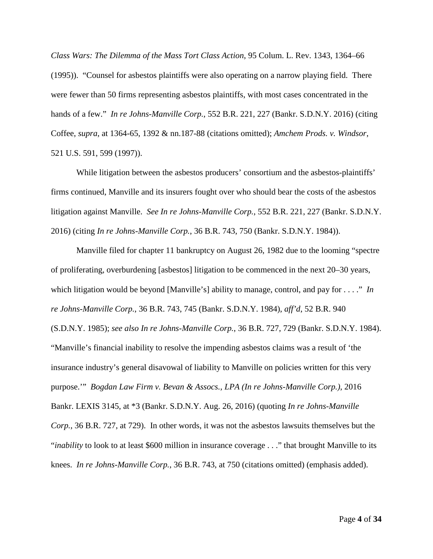*Class Wars: The Dilemma of the Mass Tort Class Action*, 95 Colum. L. Rev. 1343, 1364–66 (1995)). "Counsel for asbestos plaintiffs were also operating on a narrow playing field. There were fewer than 50 firms representing asbestos plaintiffs, with most cases concentrated in the hands of a few." *In re Johns-Manville Corp.*, 552 B.R. 221, 227 (Bankr. S.D.N.Y. 2016) (citing Coffee, *supra*, at 1364-65, 1392 & nn.187-88 (citations omitted); *Amchem Prods. v. Windsor*, 521 U.S. 591, 599 (1997)).

While litigation between the asbestos producers' consortium and the asbestos-plaintiffs' firms continued, Manville and its insurers fought over who should bear the costs of the asbestos litigation against Manville. *See In re Johns-Manville Corp.*, 552 B.R. 221, 227 (Bankr. S.D.N.Y. 2016) (citing *In re Johns-Manville Corp.*, 36 B.R. 743, 750 (Bankr. S.D.N.Y. 1984)).

Manville filed for chapter 11 bankruptcy on August 26, 1982 due to the looming "spectre of proliferating, overburdening [asbestos] litigation to be commenced in the next 20–30 years, which litigation would be beyond [Manville's] ability to manage, control, and pay for . . . ." *In re Johns-Manville Corp.*, 36 B.R. 743, 745 (Bankr. S.D.N.Y. 1984), *aff'd*, 52 B.R. 940 (S.D.N.Y. 1985); *see also In re Johns-Manville Corp.*, 36 B.R. 727, 729 (Bankr. S.D.N.Y. 1984). "Manville's financial inability to resolve the impending asbestos claims was a result of 'the insurance industry's general disavowal of liability to Manville on policies written for this very purpose.'" *Bogdan Law Firm v. Bevan & Assocs., LPA (In re Johns-Manville Corp.)*, 2016 Bankr. LEXIS 3145, at \*3 (Bankr. S.D.N.Y. Aug. 26, 2016) (quoting *In re Johns-Manville Corp.*, 36 B.R. 727, at 729). In other words, it was not the asbestos lawsuits themselves but the "*inability* to look to at least \$600 million in insurance coverage . . ." that brought Manville to its knees. *In re Johns-Manville Corp.*, 36 B.R. 743, at 750 (citations omitted) (emphasis added).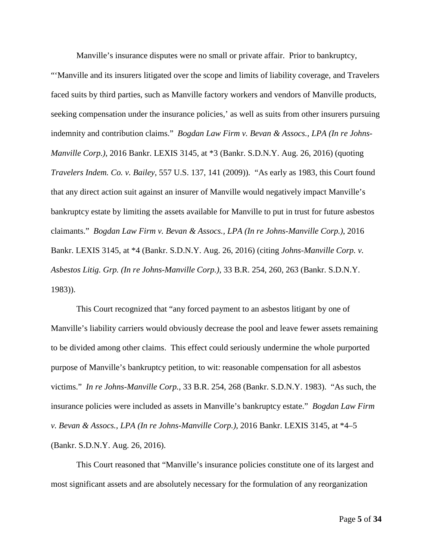Manville's insurance disputes were no small or private affair. Prior to bankruptcy, "'Manville and its insurers litigated over the scope and limits of liability coverage, and Travelers faced suits by third parties, such as Manville factory workers and vendors of Manville products, seeking compensation under the insurance policies,' as well as suits from other insurers pursuing indemnity and contribution claims." *Bogdan Law Firm v. Bevan & Assocs., LPA (In re Johns-Manville Corp.)*, 2016 Bankr. LEXIS 3145, at \*3 (Bankr. S.D.N.Y. Aug. 26, 2016) (quoting *Travelers Indem. Co. v. Bailey*, 557 U.S. 137, 141 (2009)). "As early as 1983, this Court found that any direct action suit against an insurer of Manville would negatively impact Manville's bankruptcy estate by limiting the assets available for Manville to put in trust for future asbestos claimants." *Bogdan Law Firm v. Bevan & Assocs., LPA (In re Johns-Manville Corp.)*, 2016 Bankr. LEXIS 3145, at \*4 (Bankr. S.D.N.Y. Aug. 26, 2016) (citing *Johns-Manville Corp. v. Asbestos Litig. Grp. (In re Johns-Manville Corp.)*, 33 B.R. 254, 260, 263 (Bankr. S.D.N.Y. 1983)).

This Court recognized that "any forced payment to an asbestos litigant by one of Manville's liability carriers would obviously decrease the pool and leave fewer assets remaining to be divided among other claims. This effect could seriously undermine the whole purported purpose of Manville's bankruptcy petition, to wit: reasonable compensation for all asbestos victims." *In re Johns-Manville Corp.*, 33 B.R. 254, 268 (Bankr. S.D.N.Y. 1983). "As such, the insurance policies were included as assets in Manville's bankruptcy estate." *Bogdan Law Firm v. Bevan & Assocs., LPA (In re Johns-Manville Corp.)*, 2016 Bankr. LEXIS 3145, at \*4–5 (Bankr. S.D.N.Y. Aug. 26, 2016).

This Court reasoned that "Manville's insurance policies constitute one of its largest and most significant assets and are absolutely necessary for the formulation of any reorganization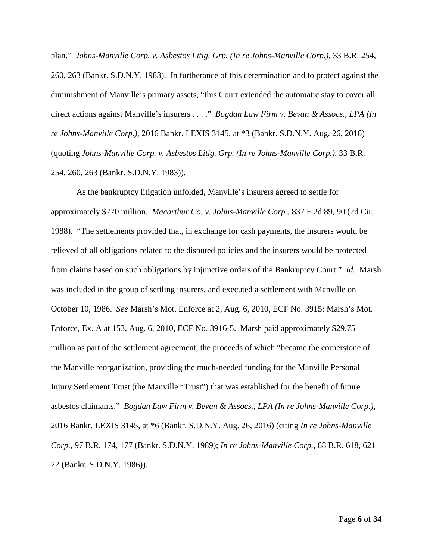plan." *Johns-Manville Corp. v. Asbestos Litig. Grp. (In re Johns-Manville Corp.)*, 33 B.R. 254, 260, 263 (Bankr. S.D.N.Y. 1983). In furtherance of this determination and to protect against the diminishment of Manville's primary assets, "this Court extended the automatic stay to cover all direct actions against Manville's insurers . . . ." *Bogdan Law Firm v. Bevan & Assocs., LPA (In re Johns-Manville Corp.)*, 2016 Bankr. LEXIS 3145, at \*3 (Bankr. S.D.N.Y. Aug. 26, 2016) (quoting *Johns-Manville Corp. v. Asbestos Litig. Grp. (In re Johns-Manville Corp.)*, 33 B.R. 254, 260, 263 (Bankr. S.D.N.Y. 1983)).

As the bankruptcy litigation unfolded, Manville's insurers agreed to settle for approximately \$770 million. *Macarthur Co. v. Johns-Manville Corp.*, 837 F.2d 89, 90 (2d Cir. 1988). "The settlements provided that, in exchange for cash payments, the insurers would be relieved of all obligations related to the disputed policies and the insurers would be protected from claims based on such obligations by injunctive orders of the Bankruptcy Court." *Id.* Marsh was included in the group of settling insurers, and executed a settlement with Manville on October 10, 1986. *See* Marsh's Mot. Enforce at 2, Aug. 6, 2010, ECF No. 3915; Marsh's Mot. Enforce, Ex. A at 153, Aug. 6, 2010, ECF No. 3916-5. Marsh paid approximately \$29.75 million as part of the settlement agreement, the proceeds of which "became the cornerstone of the Manville reorganization, providing the much-needed funding for the Manville Personal Injury Settlement Trust (the Manville "Trust") that was established for the benefit of future asbestos claimants." *Bogdan Law Firm v. Bevan & Assocs., LPA (In re Johns-Manville Corp.)*, 2016 Bankr. LEXIS 3145, at \*6 (Bankr. S.D.N.Y. Aug. 26, 2016) (citing *In re Johns-Manville Corp.*, 97 B.R. 174, 177 (Bankr. S.D.N.Y. 1989); *In re Johns-Manville Corp.*, 68 B.R. 618, 621– 22 (Bankr. S.D.N.Y. 1986)).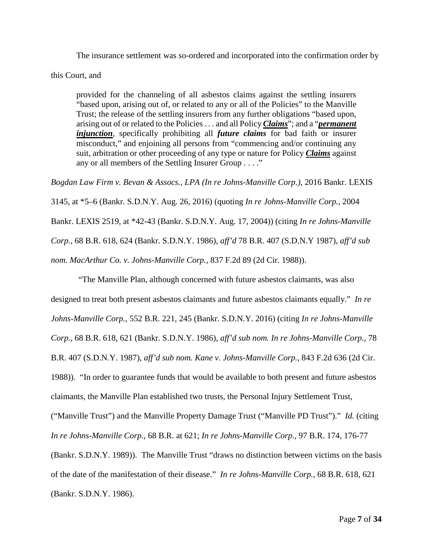The insurance settlement was so-ordered and incorporated into the confirmation order by

this Court, and

provided for the channeling of all asbestos claims against the settling insurers "based upon, arising out of, or related to any or all of the Policies" to the Manville Trust; the release of the settling insurers from any further obligations "based upon, arising out of or related to the Policies . . . and all Policy *Claims*"; and a "*permanent injunction*, specifically prohibiting all *future claims* for bad faith or insurer misconduct," and enjoining all persons from "commencing and/or continuing any suit, arbitration or other proceeding of any type or nature for Policy *Claims* against any or all members of the Settling Insurer Group . . . ."

*Bogdan Law Firm v. Bevan & Assocs., LPA (In re Johns-Manville Corp.)*, 2016 Bankr. LEXIS 3145, at \*5–6 (Bankr. S.D.N.Y. Aug. 26, 2016) (quoting *In re Johns-Manville Corp.*, 2004 Bankr. LEXIS 2519, at \*42-43 (Bankr. S.D.N.Y. Aug. 17, 2004)) (citing *In re Johns-Manville Corp.*, 68 B.R. 618, 624 (Bankr. S.D.N.Y. 1986), *aff'd* 78 B.R. 407 (S.D.N.Y 1987), *aff'd sub nom. MacArthur Co. v. Johns-Manville Corp.*, 837 F.2d 89 (2d Cir. 1988)).

"The Manville Plan, although concerned with future asbestos claimants, was also designed to treat both present asbestos claimants and future asbestos claimants equally." *In re Johns-Manville Corp.*, 552 B.R. 221, 245 (Bankr. S.D.N.Y. 2016) (citing *In re Johns-Manville Corp.*, 68 B.R. 618, 621 (Bankr. S.D.N.Y. 1986), *aff'd sub nom. In re Johns-Manville Corp.*, 78 B.R. 407 (S.D.N.Y. 1987), *aff'd sub nom. Kane v. Johns-Manville Corp.*, 843 F.2d 636 (2d Cir. 1988)). "In order to guarantee funds that would be available to both present and future asbestos claimants, the Manville Plan established two trusts, the Personal Injury Settlement Trust, ("Manville Trust") and the Manville Property Damage Trust ("Manville PD Trust")." *Id.* (citing *In re Johns-Manville Corp.*, 68 B.R. at 621; *In re Johns-Manville Corp.*, 97 B.R. 174, 176-77 (Bankr. S.D.N.Y. 1989)). The Manville Trust "draws no distinction between victims on the basis of the date of the manifestation of their disease." *In re Johns-Manville Corp.*, 68 B.R. 618, 621 (Bankr. S.D.N.Y. 1986).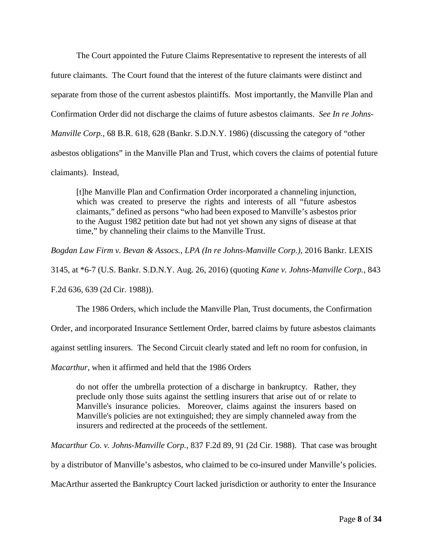The Court appointed the Future Claims Representative to represent the interests of all future claimants. The Court found that the interest of the future claimants were distinct and separate from those of the current asbestos plaintiffs. Most importantly, the Manville Plan and Confirmation Order did not discharge the claims of future asbestos claimants. *See In re Johns-Manville Corp.*, 68 B.R. 618, 628 (Bankr. S.D.N.Y. 1986) (discussing the category of "other asbestos obligations" in the Manville Plan and Trust, which covers the claims of potential future claimants). Instead,

[t]he Manville Plan and Confirmation Order incorporated a channeling injunction, which was created to preserve the rights and interests of all "future asbestos claimants," defined as persons "who had been exposed to Manville's asbestos prior to the August 1982 petition date but had not yet shown any signs of disease at that time," by channeling their claims to the Manville Trust.

*Bogdan Law Firm v. Bevan & Assocs., LPA (In re Johns-Manville Corp.)*, 2016 Bankr. LEXIS

3145, at \*6-7 (U.S. Bankr. S.D.N.Y. Aug. 26, 2016) (quoting *Kane v. Johns-Manville Corp.*, 843

F.2d 636, 639 (2d Cir. 1988)).

The 1986 Orders, which include the Manville Plan, Trust documents, the Confirmation

Order, and incorporated Insurance Settlement Order, barred claims by future asbestos claimants

against settling insurers. The Second Circuit clearly stated and left no room for confusion, in

*Macarthur*, when it affirmed and held that the 1986 Orders

do not offer the umbrella protection of a discharge in bankruptcy. Rather, they preclude only those suits against the settling insurers that arise out of or relate to Manville's insurance policies. Moreover, claims against the insurers based on Manville's policies are not extinguished; they are simply channeled away from the insurers and redirected at the proceeds of the settlement.

*Macarthur Co. v. Johns-Manville Corp.*, 837 F.2d 89, 91 (2d Cir. 1988). That case was brought

by a distributor of Manville's asbestos, who claimed to be co-insured under Manville's policies.

MacArthur asserted the Bankruptcy Court lacked jurisdiction or authority to enter the Insurance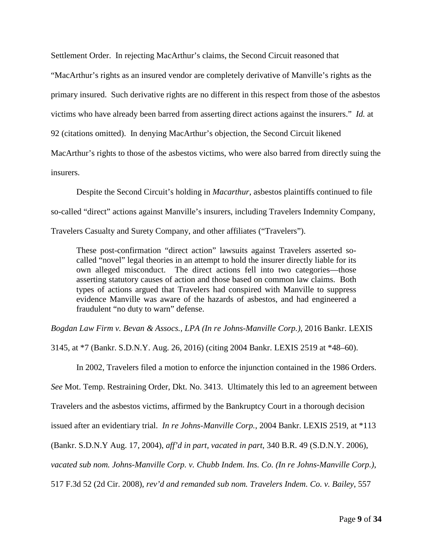Settlement Order. In rejecting MacArthur's claims, the Second Circuit reasoned that

"MacArthur's rights as an insured vendor are completely derivative of Manville's rights as the

primary insured. Such derivative rights are no different in this respect from those of the asbestos

victims who have already been barred from asserting direct actions against the insurers." *Id.* at

92 (citations omitted). In denying MacArthur's objection, the Second Circuit likened

MacArthur's rights to those of the asbestos victims, who were also barred from directly suing the insurers.

Despite the Second Circuit's holding in *Macarthur*, asbestos plaintiffs continued to file so-called "direct" actions against Manville's insurers, including Travelers Indemnity Company, Travelers Casualty and Surety Company, and other affiliates ("Travelers").

These post-confirmation "direct action" lawsuits against Travelers asserted socalled "novel" legal theories in an attempt to hold the insurer directly liable for its own alleged misconduct. The direct actions fell into two categories—those asserting statutory causes of action and those based on common law claims. Both types of actions argued that Travelers had conspired with Manville to suppress evidence Manville was aware of the hazards of asbestos, and had engineered a fraudulent "no duty to warn" defense.

*Bogdan Law Firm v. Bevan & Assocs., LPA (In re Johns-Manville Corp.)*, 2016 Bankr. LEXIS

3145, at \*7 (Bankr. S.D.N.Y. Aug. 26, 2016) (citing 2004 Bankr. LEXIS 2519 at \*48–60).

In 2002, Travelers filed a motion to enforce the injunction contained in the 1986 Orders.

*See* Mot. Temp. Restraining Order, Dkt. No. 3413. Ultimately this led to an agreement between

Travelers and the asbestos victims, affirmed by the Bankruptcy Court in a thorough decision

issued after an evidentiary trial. *In re Johns-Manville Corp.*, 2004 Bankr. LEXIS 2519, at \*113

(Bankr. S.D.N.Y Aug. 17, 2004), *aff'd in part, vacated in part*, 340 B.R. 49 (S.D.N.Y. 2006),

*vacated sub nom. Johns-Manville Corp. v. Chubb Indem. Ins. Co. (In re Johns-Manville Corp.)*,

517 F.3d 52 (2d Cir. 2008), *rev'd and remanded sub nom. Travelers Indem. Co. v. Bailey*, 557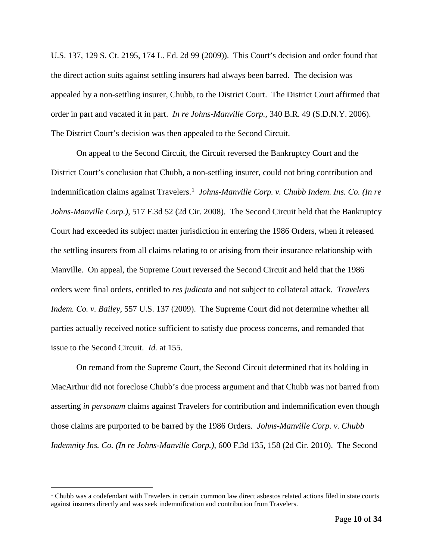U.S. 137, 129 S. Ct. 2195, 174 L. Ed. 2d 99 (2009)). This Court's decision and order found that the direct action suits against settling insurers had always been barred. The decision was appealed by a non-settling insurer, Chubb, to the District Court. The District Court affirmed that order in part and vacated it in part. *In re Johns-Manville Corp.*, 340 B.R. 49 (S.D.N.Y. 2006). The District Court's decision was then appealed to the Second Circuit.

On appeal to the Second Circuit, the Circuit reversed the Bankruptcy Court and the District Court's conclusion that Chubb, a non-settling insurer, could not bring contribution and indemnification claims against Travelers.<sup>[1](#page-9-0)</sup> Johns-Manville Corp. v. Chubb Indem. Ins. Co. (In re *Johns-Manville Corp.)*, 517 F.3d 52 (2d Cir. 2008). The Second Circuit held that the Bankruptcy Court had exceeded its subject matter jurisdiction in entering the 1986 Orders, when it released the settling insurers from all claims relating to or arising from their insurance relationship with Manville. On appeal, the Supreme Court reversed the Second Circuit and held that the 1986 orders were final orders, entitled to *res judicata* and not subject to collateral attack. *Travelers Indem. Co. v. Bailey*, 557 U.S. 137 (2009). The Supreme Court did not determine whether all parties actually received notice sufficient to satisfy due process concerns, and remanded that issue to the Second Circuit. *Id.* at 155.

On remand from the Supreme Court, the Second Circuit determined that its holding in MacArthur did not foreclose Chubb's due process argument and that Chubb was not barred from asserting *in personam* claims against Travelers for contribution and indemnification even though those claims are purported to be barred by the 1986 Orders. *Johns-Manville Corp. v. Chubb Indemnity Ins. Co. (In re Johns-Manville Corp.)*, 600 F.3d 135, 158 (2d Cir. 2010). The Second

<span id="page-9-0"></span><sup>&</sup>lt;sup>1</sup> Chubb was a codefendant with Travelers in certain common law direct asbestos related actions filed in state courts against insurers directly and was seek indemnification and contribution from Travelers.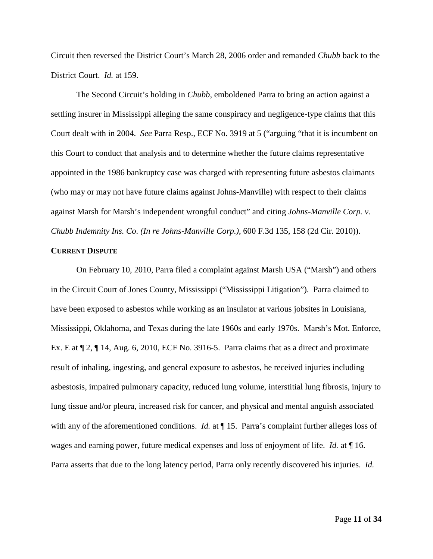Circuit then reversed the District Court's March 28, 2006 order and remanded *Chubb* back to the District Court. *Id.* at 159.

The Second Circuit's holding in *Chubb*, emboldened Parra to bring an action against a settling insurer in Mississippi alleging the same conspiracy and negligence-type claims that this Court dealt with in 2004. *See* Parra Resp., ECF No. 3919 at 5 ("arguing "that it is incumbent on this Court to conduct that analysis and to determine whether the future claims representative appointed in the 1986 bankruptcy case was charged with representing future asbestos claimants (who may or may not have future claims against Johns-Manville) with respect to their claims against Marsh for Marsh's independent wrongful conduct" and citing *Johns-Manville Corp. v. Chubb Indemnity Ins. Co. (In re Johns-Manville Corp.)*, 600 F.3d 135, 158 (2d Cir. 2010)).

#### **CURRENT DISPUTE**

On February 10, 2010, Parra filed a complaint against Marsh USA ("Marsh") and others in the Circuit Court of Jones County, Mississippi ("Mississippi Litigation"). Parra claimed to have been exposed to asbestos while working as an insulator at various jobsites in Louisiana, Mississippi, Oklahoma, and Texas during the late 1960s and early 1970s. Marsh's Mot. Enforce, Ex. E at  $\P$  2,  $\P$  14, Aug. 6, 2010, ECF No. 3916-5. Parra claims that as a direct and proximate result of inhaling, ingesting, and general exposure to asbestos, he received injuries including asbestosis, impaired pulmonary capacity, reduced lung volume, interstitial lung fibrosis, injury to lung tissue and/or pleura, increased risk for cancer, and physical and mental anguish associated with any of the aforementioned conditions. *Id.* at **[15.** Parra's complaint further alleges loss of wages and earning power, future medical expenses and loss of enjoyment of life. *Id.* at ¶ 16. Parra asserts that due to the long latency period, Parra only recently discovered his injuries. *Id.*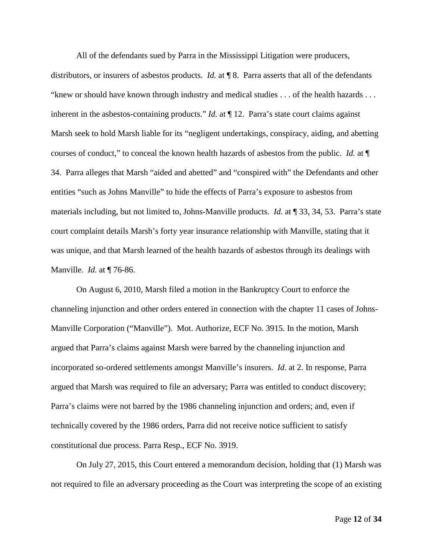All of the defendants sued by Parra in the Mississippi Litigation were producers,

distributors, or insurers of asbestos products. *Id.* at ¶ 8. Parra asserts that all of the defendants "knew or should have known through industry and medical studies . . . of the health hazards . . . inherent in the asbestos-containing products." *Id.* at  $\P$  12. Parra's state court claims against Marsh seek to hold Marsh liable for its "negligent undertakings, conspiracy, aiding, and abetting courses of conduct," to conceal the known health hazards of asbestos from the public. *Id.* at ¶ 34. Parra alleges that Marsh "aided and abetted" and "conspired with" the Defendants and other entities "such as Johns Manville" to hide the effects of Parra's exposure to asbestos from materials including, but not limited to, Johns-Manville products. *Id.* at ¶ 33, 34, 53. Parra's state court complaint details Marsh's forty year insurance relationship with Manville, stating that it was unique, and that Marsh learned of the health hazards of asbestos through its dealings with Manville. *Id.* at ¶ 76-86.

On August 6, 2010, Marsh filed a motion in the Bankruptcy Court to enforce the channeling injunction and other orders entered in connection with the chapter 11 cases of Johns-Manville Corporation ("Manville"). Mot. Authorize, ECF No. 3915. In the motion, Marsh argued that Parra's claims against Marsh were barred by the channeling injunction and incorporated so-ordered settlements amongst Manville's insurers. *Id.* at 2. In response, Parra argued that Marsh was required to file an adversary; Parra was entitled to conduct discovery; Parra's claims were not barred by the 1986 channeling injunction and orders; and, even if technically covered by the 1986 orders, Parra did not receive notice sufficient to satisfy constitutional due process. Parra Resp., ECF No. 3919.

On July 27, 2015, this Court entered a memorandum decision, holding that (1) Marsh was not required to file an adversary proceeding as the Court was interpreting the scope of an existing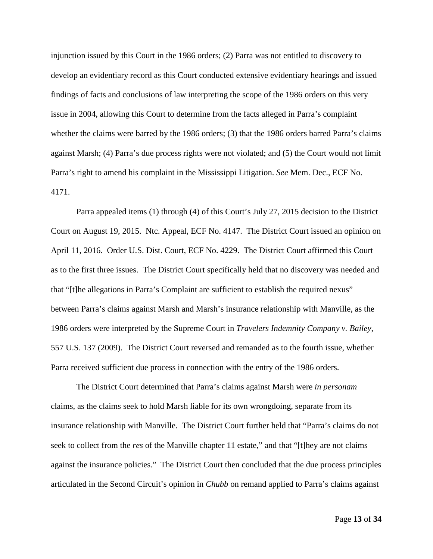injunction issued by this Court in the 1986 orders; (2) Parra was not entitled to discovery to develop an evidentiary record as this Court conducted extensive evidentiary hearings and issued findings of facts and conclusions of law interpreting the scope of the 1986 orders on this very issue in 2004, allowing this Court to determine from the facts alleged in Parra's complaint whether the claims were barred by the 1986 orders; (3) that the 1986 orders barred Parra's claims against Marsh; (4) Parra's due process rights were not violated; and (5) the Court would not limit Parra's right to amend his complaint in the Mississippi Litigation. *See* Mem. Dec., ECF No. 4171.

Parra appealed items (1) through (4) of this Court's July 27, 2015 decision to the District Court on August 19, 2015. Ntc. Appeal, ECF No. 4147. The District Court issued an opinion on April 11, 2016. Order U.S. Dist. Court, ECF No. 4229. The District Court affirmed this Court as to the first three issues. The District Court specifically held that no discovery was needed and that "[t]he allegations in Parra's Complaint are sufficient to establish the required nexus" between Parra's claims against Marsh and Marsh's insurance relationship with Manville, as the 1986 orders were interpreted by the Supreme Court in *Travelers Indemnity Company v. Bailey*, 557 U.S. 137 (2009). The District Court reversed and remanded as to the fourth issue, whether Parra received sufficient due process in connection with the entry of the 1986 orders.

The District Court determined that Parra's claims against Marsh were *in personam* claims, as the claims seek to hold Marsh liable for its own wrongdoing, separate from its insurance relationship with Manville. The District Court further held that "Parra's claims do not seek to collect from the *res* of the Manville chapter 11 estate," and that "[t]hey are not claims against the insurance policies." The District Court then concluded that the due process principles articulated in the Second Circuit's opinion in *Chubb* on remand applied to Parra's claims against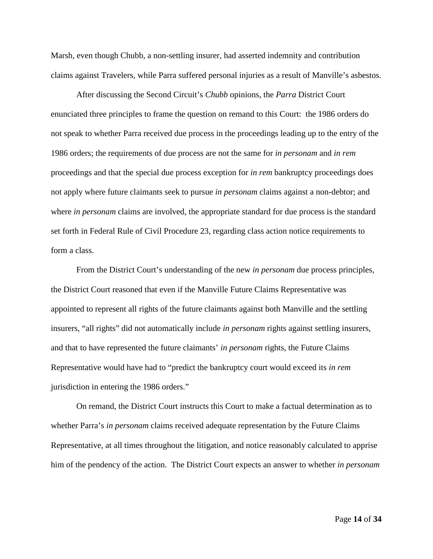Marsh, even though Chubb, a non-settling insurer, had asserted indemnity and contribution claims against Travelers, while Parra suffered personal injuries as a result of Manville's asbestos.

After discussing the Second Circuit's *Chubb* opinions, the *Parra* District Court enunciated three principles to frame the question on remand to this Court: the 1986 orders do not speak to whether Parra received due process in the proceedings leading up to the entry of the 1986 orders; the requirements of due process are not the same for *in personam* and *in rem* proceedings and that the special due process exception for *in rem* bankruptcy proceedings does not apply where future claimants seek to pursue *in personam* claims against a non-debtor; and where *in personam* claims are involved, the appropriate standard for due process is the standard set forth in Federal Rule of Civil Procedure 23, regarding class action notice requirements to form a class.

From the District Court's understanding of the new *in personam* due process principles, the District Court reasoned that even if the Manville Future Claims Representative was appointed to represent all rights of the future claimants against both Manville and the settling insurers, "all rights" did not automatically include *in personam* rights against settling insurers, and that to have represented the future claimants' *in personam* rights, the Future Claims Representative would have had to "predict the bankruptcy court would exceed its *in rem* jurisdiction in entering the 1986 orders."

On remand, the District Court instructs this Court to make a factual determination as to whether Parra's *in personam* claims received adequate representation by the Future Claims Representative, at all times throughout the litigation, and notice reasonably calculated to apprise him of the pendency of the action. The District Court expects an answer to whether *in personam*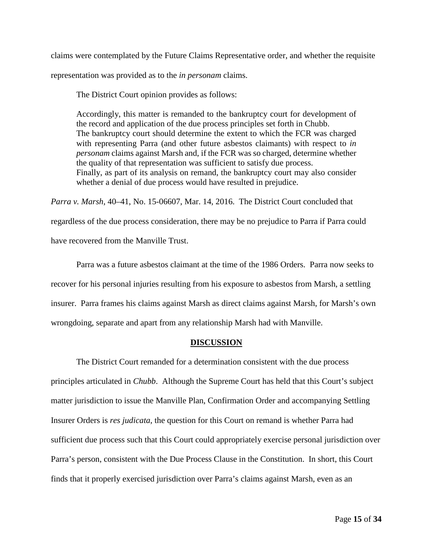claims were contemplated by the Future Claims Representative order, and whether the requisite representation was provided as to the *in personam* claims.

The District Court opinion provides as follows:

Accordingly, this matter is remanded to the bankruptcy court for development of the record and application of the due process principles set forth in Chubb. The bankruptcy court should determine the extent to which the FCR was charged with representing Parra (and other future asbestos claimants) with respect to *in personam* claims against Marsh and, if the FCR was so charged, determine whether the quality of that representation was sufficient to satisfy due process. Finally, as part of its analysis on remand, the bankruptcy court may also consider whether a denial of due process would have resulted in prejudice.

*Parra v. Marsh*, 40–41, No. 15-06607, Mar. 14, 2016. The District Court concluded that regardless of the due process consideration, there may be no prejudice to Parra if Parra could have recovered from the Manville Trust.

Parra was a future asbestos claimant at the time of the 1986 Orders. Parra now seeks to recover for his personal injuries resulting from his exposure to asbestos from Marsh, a settling insurer. Parra frames his claims against Marsh as direct claims against Marsh, for Marsh's own wrongdoing, separate and apart from any relationship Marsh had with Manville.

## **DISCUSSION**

The District Court remanded for a determination consistent with the due process principles articulated in *Chubb*. Although the Supreme Court has held that this Court's subject matter jurisdiction to issue the Manville Plan, Confirmation Order and accompanying Settling Insurer Orders is *res judicata*, the question for this Court on remand is whether Parra had sufficient due process such that this Court could appropriately exercise personal jurisdiction over Parra's person, consistent with the Due Process Clause in the Constitution. In short, this Court finds that it properly exercised jurisdiction over Parra's claims against Marsh, even as an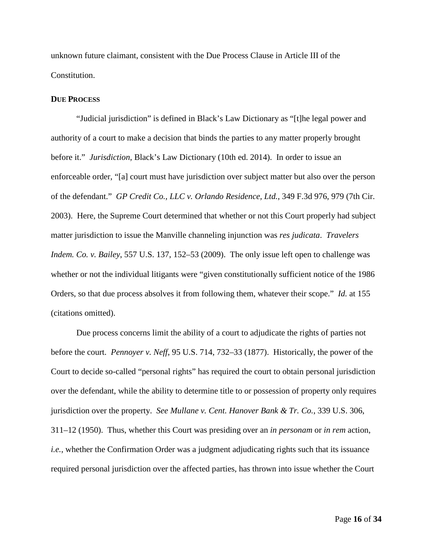unknown future claimant, consistent with the Due Process Clause in Article III of the Constitution.

## **DUE PROCESS**

"Judicial jurisdiction" is defined in Black's Law Dictionary as "[t]he legal power and authority of a court to make a decision that binds the parties to any matter properly brought before it." *Jurisdiction*, Black's Law Dictionary (10th ed. 2014). In order to issue an enforceable order, "[a] court must have jurisdiction over subject matter but also over the person of the defendant." *GP Credit Co., LLC v. Orlando Residence, Ltd.*, 349 F.3d 976, 979 (7th Cir. 2003). Here, the Supreme Court determined that whether or not this Court properly had subject matter jurisdiction to issue the Manville channeling injunction was *res judicata*. *Travelers Indem. Co. v. Bailey*, 557 U.S. 137, 152–53 (2009). The only issue left open to challenge was whether or not the individual litigants were "given constitutionally sufficient notice of the 1986 Orders, so that due process absolves it from following them, whatever their scope." *Id.* at 155 (citations omitted).

Due process concerns limit the ability of a court to adjudicate the rights of parties not before the court. *Pennoyer v. Neff*, 95 U.S. 714, 732–33 (1877). Historically, the power of the Court to decide so-called "personal rights" has required the court to obtain personal jurisdiction over the defendant, while the ability to determine title to or possession of property only requires jurisdiction over the property. *See Mullane v. Cent. Hanover Bank & Tr. Co.*, 339 U.S. 306, 311–12 (1950). Thus, whether this Court was presiding over an *in personam* or *in rem* action, *i.e.*, whether the Confirmation Order was a judgment adjudicating rights such that its issuance required personal jurisdiction over the affected parties, has thrown into issue whether the Court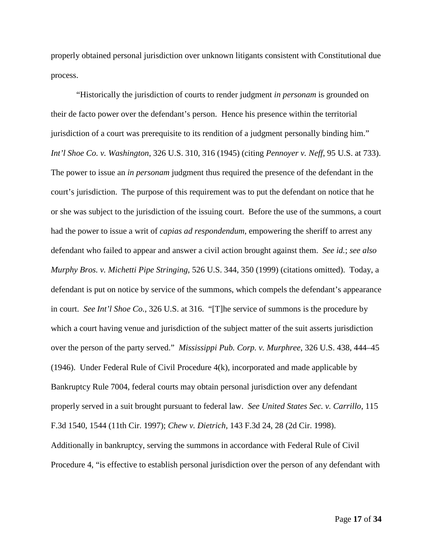properly obtained personal jurisdiction over unknown litigants consistent with Constitutional due process.

"Historically the jurisdiction of courts to render judgment *in personam* is grounded on their de facto power over the defendant's person. Hence his presence within the territorial jurisdiction of a court was prerequisite to its rendition of a judgment personally binding him." *Int'l Shoe Co. v. Washington*, 326 U.S. 310, 316 (1945) (citing *Pennoyer v. Neff*, 95 U.S. at 733). The power to issue an *in personam* judgment thus required the presence of the defendant in the court's jurisdiction. The purpose of this requirement was to put the defendant on notice that he or she was subject to the jurisdiction of the issuing court. Before the use of the summons, a court had the power to issue a writ of *capias ad respondendum*, empowering the sheriff to arrest any defendant who failed to appear and answer a civil action brought against them. *See id.*; *see also Murphy Bros. v. Michetti Pipe Stringing*, 526 U.S. 344, 350 (1999) (citations omitted). Today, a defendant is put on notice by service of the summons, which compels the defendant's appearance in court. *See Int'l Shoe Co.*, 326 U.S. at 316. "[T]he service of summons is the procedure by which a court having venue and jurisdiction of the subject matter of the suit asserts jurisdiction over the person of the party served." *Mississippi Pub. Corp. v. Murphree*, 326 U.S. 438, 444–45 (1946). Under Federal Rule of Civil Procedure 4(k), incorporated and made applicable by Bankruptcy Rule 7004, federal courts may obtain personal jurisdiction over any defendant properly served in a suit brought pursuant to federal law. *See United States Sec. v. Carrillo*, 115 F.3d 1540, 1544 (11th Cir. 1997); *Chew v. Dietrich*, 143 F.3d 24, 28 (2d Cir. 1998). Additionally in bankruptcy, serving the summons in accordance with Federal Rule of Civil Procedure 4, "is effective to establish personal jurisdiction over the person of any defendant with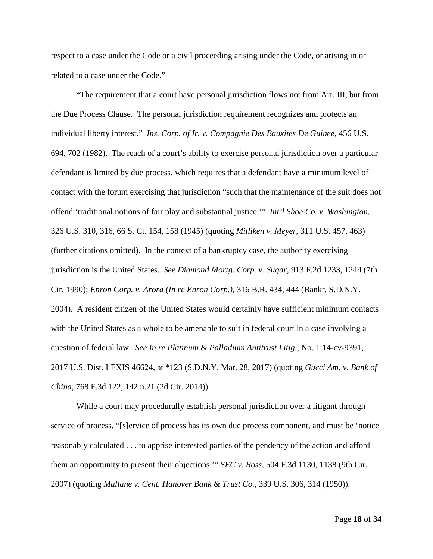respect to a case under the Code or a civil proceeding arising under the Code, or arising in or related to a case under the Code."

"The requirement that a court have personal jurisdiction flows not from Art. III, but from the Due Process Clause. The personal jurisdiction requirement recognizes and protects an individual liberty interest." *Ins. Corp. of Ir. v. Compagnie Des Bauxites De Guinee*, 456 U.S. 694, 702 (1982). The reach of a court's ability to exercise personal jurisdiction over a particular defendant is limited by due process, which requires that a defendant have a minimum level of contact with the forum exercising that jurisdiction "such that the maintenance of the suit does not offend 'traditional notions of fair play and substantial justice.'" *Int'l Shoe Co. v. Washington*, 326 U.S. 310, 316, 66 S. Ct. 154, 158 (1945) (quoting *Milliken v. Meyer*, 311 U.S. 457, 463) (further citations omitted). In the context of a bankruptcy case, the authority exercising jurisdiction is the United States. *See Diamond Mortg. Corp. v. Sugar*, 913 F.2d 1233, 1244 (7th Cir. 1990); *Enron Corp. v. Arora (In re Enron Corp.)*, 316 B.R. 434, 444 (Bankr. S.D.N.Y. 2004). A resident citizen of the United States would certainly have sufficient minimum contacts with the United States as a whole to be amenable to suit in federal court in a case involving a question of federal law. *See In re Platinum & Palladium Antitrust Litig.*, No. 1:14-cv-9391, 2017 U.S. Dist. LEXIS 46624, at \*123 (S.D.N.Y. Mar. 28, 2017) (quoting *Gucci Am. v. Bank of China*, 768 F.3d 122, 142 n.21 (2d Cir. 2014)).

While a court may procedurally establish personal jurisdiction over a litigant through service of process, "[s]ervice of process has its own due process component, and must be 'notice reasonably calculated . . . to apprise interested parties of the pendency of the action and afford them an opportunity to present their objections.'" *SEC v. Ross*, 504 F.3d 1130, 1138 (9th Cir. 2007) (quoting *Mullane v. Cent. Hanover Bank & Trust Co.*, 339 U.S. 306, 314 (1950)).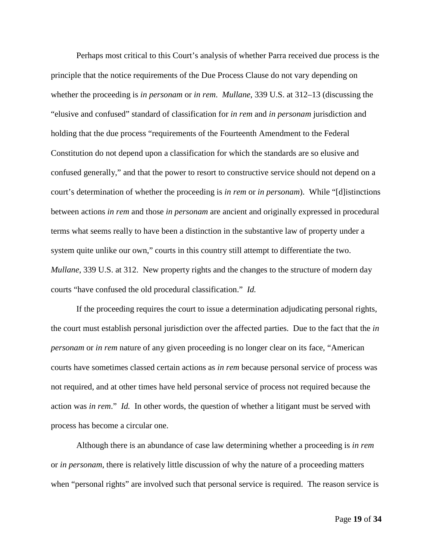Perhaps most critical to this Court's analysis of whether Parra received due process is the principle that the notice requirements of the Due Process Clause do not vary depending on whether the proceeding is *in personam* or *in rem*. *Mullane*, 339 U.S. at 312–13 (discussing the "elusive and confused" standard of classification for *in rem* and *in personam* jurisdiction and holding that the due process "requirements of the Fourteenth Amendment to the Federal Constitution do not depend upon a classification for which the standards are so elusive and confused generally," and that the power to resort to constructive service should not depend on a court's determination of whether the proceeding is *in rem* or *in personam*). While "[d]istinctions between actions *in rem* and those *in personam* are ancient and originally expressed in procedural terms what seems really to have been a distinction in the substantive law of property under a system quite unlike our own," courts in this country still attempt to differentiate the two. *Mullane*, 339 U.S. at 312. New property rights and the changes to the structure of modern day courts "have confused the old procedural classification." *Id.*

If the proceeding requires the court to issue a determination adjudicating personal rights, the court must establish personal jurisdiction over the affected parties. Due to the fact that the *in personam* or *in rem* nature of any given proceeding is no longer clear on its face, "American courts have sometimes classed certain actions as *in rem* because personal service of process was not required, and at other times have held personal service of process not required because the action was *in rem*." *Id.* In other words, the question of whether a litigant must be served with process has become a circular one.

Although there is an abundance of case law determining whether a proceeding is *in rem* or *in personam*, there is relatively little discussion of why the nature of a proceeding matters when "personal rights" are involved such that personal service is required. The reason service is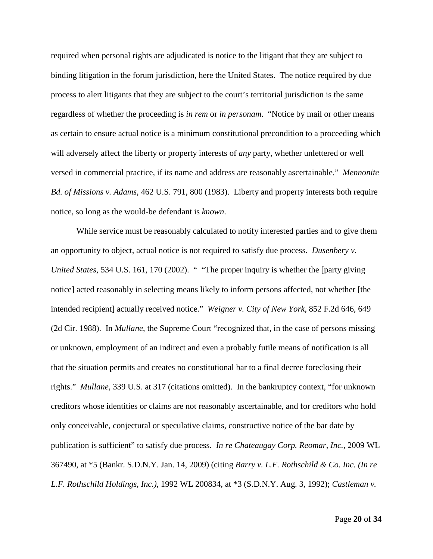required when personal rights are adjudicated is notice to the litigant that they are subject to binding litigation in the forum jurisdiction, here the United States. The notice required by due process to alert litigants that they are subject to the court's territorial jurisdiction is the same regardless of whether the proceeding is *in rem* or *in personam*. "Notice by mail or other means as certain to ensure actual notice is a minimum constitutional precondition to a proceeding which will adversely affect the liberty or property interests of *any* party, whether unlettered or well versed in commercial practice, if its name and address are reasonably ascertainable." *Mennonite Bd. of Missions v. Adams*, 462 U.S. 791, 800 (1983). Liberty and property interests both require notice, so long as the would-be defendant is *known*.

While service must be reasonably calculated to notify interested parties and to give them an opportunity to object, actual notice is not required to satisfy due process. *Dusenbery v. United States*, 534 U.S. 161, 170 (2002). " "The proper inquiry is whether the [party giving notice] acted reasonably in selecting means likely to inform persons affected, not whether [the intended recipient] actually received notice." *Weigner v. City of New York*, 852 F.2d 646, 649 (2d Cir. 1988). In *Mullane*, the Supreme Court "recognized that, in the case of persons missing or unknown, employment of an indirect and even a probably futile means of notification is all that the situation permits and creates no constitutional bar to a final decree foreclosing their rights." *Mullane*, 339 U.S. at 317 (citations omitted). In the bankruptcy context, "for unknown creditors whose identities or claims are not reasonably ascertainable, and for creditors who hold only conceivable, conjectural or speculative claims, constructive notice of the bar date by publication is sufficient" to satisfy due process. *In re Chateaugay Corp. Reomar, Inc.*, 2009 WL 367490, at \*5 (Bankr. S.D.N.Y. Jan. 14, 2009) (citing *Barry v. L.F. Rothschild & Co. Inc. (In re L.F. Rothschild Holdings, Inc.)*, 1992 WL 200834, at \*3 (S.D.N.Y. Aug. 3, 1992); *Castleman v.*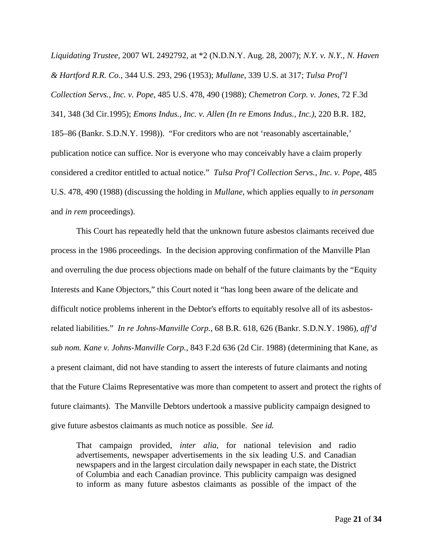*Liquidating Trustee*, 2007 WL 2492792, at \*2 (N.D.N.Y. Aug. 28, 2007); *N.Y. v. N.Y., N. Haven & Hartford R.R. Co.*, 344 U.S. 293, 296 (1953); *Mullane*, 339 U.S. at 317; *Tulsa Prof'l Collection Servs., Inc. v. Pope*, 485 U.S. 478, 490 (1988); *Chemetron Corp. v. Jones*, 72 F.3d 341, 348 (3d Cir.1995); *Emons Indus., Inc. v. Allen (In re Emons Indus., Inc.)*, 220 B.R. 182, 185–86 (Bankr. S.D.N.Y. 1998)). "For creditors who are not 'reasonably ascertainable,' publication notice can suffice. Nor is everyone who may conceivably have a claim properly considered a creditor entitled to actual notice." *Tulsa Prof'l Collection Servs., Inc. v. Pope*, 485 U.S. 478, 490 (1988) (discussing the holding in *Mullane*, which applies equally to *in personam* and *in rem* proceedings).

This Court has repeatedly held that the unknown future asbestos claimants received due process in the 1986 proceedings. In the decision approving confirmation of the Manville Plan and overruling the due process objections made on behalf of the future claimants by the "Equity Interests and Kane Objectors," this Court noted it "has long been aware of the delicate and difficult notice problems inherent in the Debtor's efforts to equitably resolve all of its asbestosrelated liabilities." *In re Johns-Manville Corp.*, 68 B.R. 618, 626 (Bankr. S.D.N.Y. 1986), *aff'd sub nom. Kane v. Johns-Manville Corp.*, 843 F.2d 636 (2d Cir. 1988) (determining that Kane, as a present claimant, did not have standing to assert the interests of future claimants and noting that the Future Claims Representative was more than competent to assert and protect the rights of future claimants). The Manville Debtors undertook a massive publicity campaign designed to give future asbestos claimants as much notice as possible. *See id.*

That campaign provided, *inter alia*, for national television and radio advertisements, newspaper advertisements in the six leading U.S. and Canadian newspapers and in the largest circulation daily newspaper in each state, the District of Columbia and each Canadian province. This publicity campaign was designed to inform as many future asbestos claimants as possible of the impact of the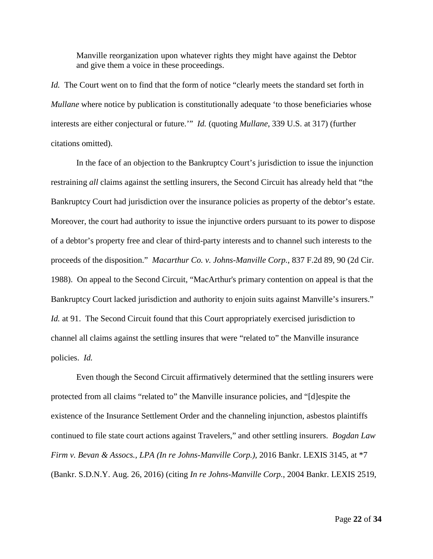Manville reorganization upon whatever rights they might have against the Debtor and give them a voice in these proceedings.

*Id.* The Court went on to find that the form of notice "clearly meets the standard set forth in *Mullane* where notice by publication is constitutionally adequate 'to those beneficiaries whose interests are either conjectural or future.'" *Id.* (quoting *Mullane*, 339 U.S. at 317) (further citations omitted).

In the face of an objection to the Bankruptcy Court's jurisdiction to issue the injunction restraining *all* claims against the settling insurers, the Second Circuit has already held that "the Bankruptcy Court had jurisdiction over the insurance policies as property of the debtor's estate. Moreover, the court had authority to issue the injunctive orders pursuant to its power to dispose of a debtor's property free and clear of third-party interests and to channel such interests to the proceeds of the disposition." *Macarthur Co. v. Johns-Manville Corp.*, 837 F.2d 89, 90 (2d Cir. 1988). On appeal to the Second Circuit, "MacArthur's primary contention on appeal is that the Bankruptcy Court lacked jurisdiction and authority to enjoin suits against Manville's insurers." *Id.* at 91. The Second Circuit found that this Court appropriately exercised jurisdiction to channel all claims against the settling insures that were "related to" the Manville insurance policies. *Id.*

Even though the Second Circuit affirmatively determined that the settling insurers were protected from all claims "related to" the Manville insurance policies, and "[d]espite the existence of the Insurance Settlement Order and the channeling injunction, asbestos plaintiffs continued to file state court actions against Travelers," and other settling insurers. *Bogdan Law Firm v. Bevan & Assocs., LPA (In re Johns-Manville Corp.)*, 2016 Bankr. LEXIS 3145, at \*7 (Bankr. S.D.N.Y. Aug. 26, 2016) (citing *In re Johns-Manville Corp.*, 2004 Bankr. LEXIS 2519,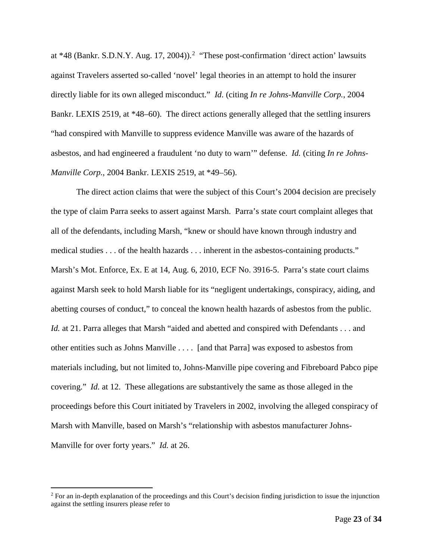at  $*48$  (Bankr. S.D.N.Y. Aug. 17, [2](#page-22-0)004)).<sup>2</sup> "These post-confirmation 'direct action' lawsuits against Travelers asserted so-called 'novel' legal theories in an attempt to hold the insurer directly liable for its own alleged misconduct." *Id.* (citing *In re Johns-Manville Corp.*, 2004 Bankr. LEXIS 2519, at \*48–60). The direct actions generally alleged that the settling insurers "had conspired with Manville to suppress evidence Manville was aware of the hazards of asbestos, and had engineered a fraudulent 'no duty to warn'" defense. *Id.* (citing *In re Johns-Manville Corp.*, 2004 Bankr. LEXIS 2519, at \*49–56).

The direct action claims that were the subject of this Court's 2004 decision are precisely the type of claim Parra seeks to assert against Marsh. Parra's state court complaint alleges that all of the defendants, including Marsh, "knew or should have known through industry and medical studies . . . of the health hazards . . . inherent in the asbestos-containing products." Marsh's Mot. Enforce, Ex. E at 14, Aug. 6, 2010, ECF No. 3916-5. Parra's state court claims against Marsh seek to hold Marsh liable for its "negligent undertakings, conspiracy, aiding, and abetting courses of conduct," to conceal the known health hazards of asbestos from the public. *Id.* at 21. Parra alleges that Marsh "aided and abetted and conspired with Defendants . . . and other entities such as Johns Manville . . . . [and that Parra] was exposed to asbestos from materials including, but not limited to, Johns-Manville pipe covering and Fibreboard Pabco pipe covering." *Id.* at 12. These allegations are substantively the same as those alleged in the proceedings before this Court initiated by Travelers in 2002, involving the alleged conspiracy of Marsh with Manville, based on Marsh's "relationship with asbestos manufacturer Johns-Manville for over forty years." *Id.* at 26.

<span id="page-22-0"></span> $2$  For an in-depth explanation of the proceedings and this Court's decision finding jurisdiction to issue the injunction against the settling insurers please refer to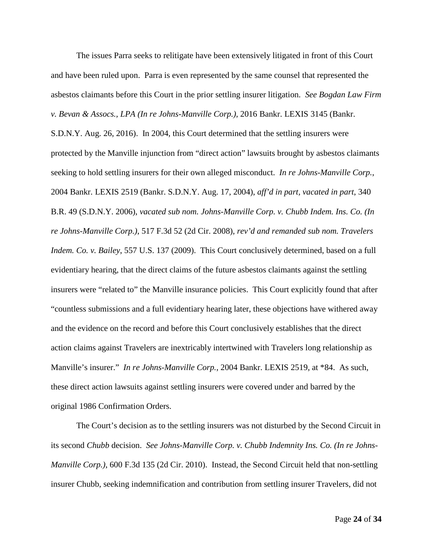The issues Parra seeks to relitigate have been extensively litigated in front of this Court and have been ruled upon. Parra is even represented by the same counsel that represented the asbestos claimants before this Court in the prior settling insurer litigation. *See Bogdan Law Firm v. Bevan & Assocs., LPA (In re Johns-Manville Corp.)*, 2016 Bankr. LEXIS 3145 (Bankr.

S.D.N.Y. Aug. 26, 2016). In 2004, this Court determined that the settling insurers were protected by the Manville injunction from "direct action" lawsuits brought by asbestos claimants seeking to hold settling insurers for their own alleged misconduct. *In re Johns-Manville Corp.*, 2004 Bankr. LEXIS 2519 (Bankr. S.D.N.Y. Aug. 17, 2004), *aff'd in part, vacated in part*, 340 B.R. 49 (S.D.N.Y. 2006), *vacated sub nom. Johns-Manville Corp. v. Chubb Indem. Ins. Co. (In re Johns-Manville Corp.)*, 517 F.3d 52 (2d Cir. 2008), *rev'd and remanded sub nom. Travelers Indem. Co. v. Bailey*, 557 U.S. 137 (2009). This Court conclusively determined, based on a full evidentiary hearing, that the direct claims of the future asbestos claimants against the settling insurers were "related to" the Manville insurance policies. This Court explicitly found that after "countless submissions and a full evidentiary hearing later, these objections have withered away and the evidence on the record and before this Court conclusively establishes that the direct action claims against Travelers are inextricably intertwined with Travelers long relationship as Manville's insurer." *In re Johns-Manville Corp.*, 2004 Bankr. LEXIS 2519, at \*84. As such, these direct action lawsuits against settling insurers were covered under and barred by the original 1986 Confirmation Orders.

The Court's decision as to the settling insurers was not disturbed by the Second Circuit in its second *Chubb* decision. *See Johns-Manville Corp. v. Chubb Indemnity Ins. Co. (In re Johns-Manville Corp.)*, 600 F.3d 135 (2d Cir. 2010). Instead, the Second Circuit held that non-settling insurer Chubb, seeking indemnification and contribution from settling insurer Travelers, did not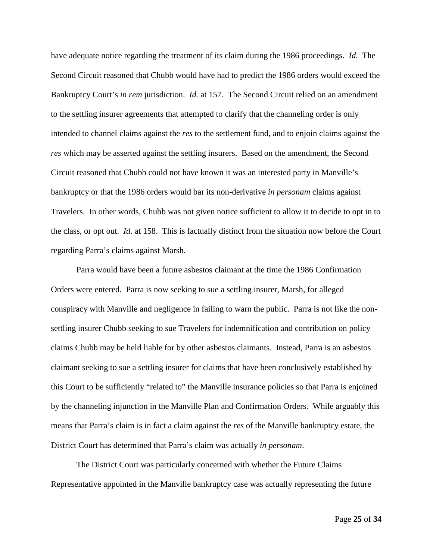have adequate notice regarding the treatment of its claim during the 1986 proceedings. *Id.* The Second Circuit reasoned that Chubb would have had to predict the 1986 orders would exceed the Bankruptcy Court's *in rem* jurisdiction. *Id.* at 157. The Second Circuit relied on an amendment to the settling insurer agreements that attempted to clarify that the channeling order is only intended to channel claims against the *res* to the settlement fund, and to enjoin claims against the *res* which may be asserted against the settling insurers. Based on the amendment, the Second Circuit reasoned that Chubb could not have known it was an interested party in Manville's bankruptcy or that the 1986 orders would bar its non-derivative *in personam* claims against Travelers. In other words, Chubb was not given notice sufficient to allow it to decide to opt in to the class, or opt out. *Id.* at 158. This is factually distinct from the situation now before the Court regarding Parra's claims against Marsh.

Parra would have been a future asbestos claimant at the time the 1986 Confirmation Orders were entered. Parra is now seeking to sue a settling insurer, Marsh, for alleged conspiracy with Manville and negligence in failing to warn the public. Parra is not like the nonsettling insurer Chubb seeking to sue Travelers for indemnification and contribution on policy claims Chubb may be held liable for by other asbestos claimants. Instead, Parra is an asbestos claimant seeking to sue a settling insurer for claims that have been conclusively established by this Court to be sufficiently "related to" the Manville insurance policies so that Parra is enjoined by the channeling injunction in the Manville Plan and Confirmation Orders. While arguably this means that Parra's claim is in fact a claim against the *res* of the Manville bankruptcy estate, the District Court has determined that Parra's claim was actually *in personam*.

The District Court was particularly concerned with whether the Future Claims Representative appointed in the Manville bankruptcy case was actually representing the future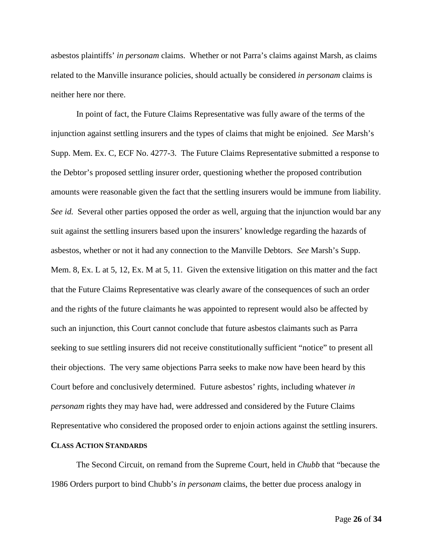asbestos plaintiffs' *in personam* claims. Whether or not Parra's claims against Marsh, as claims related to the Manville insurance policies, should actually be considered *in personam* claims is neither here nor there.

In point of fact, the Future Claims Representative was fully aware of the terms of the injunction against settling insurers and the types of claims that might be enjoined. *See* Marsh's Supp. Mem. Ex. C, ECF No. 4277-3. The Future Claims Representative submitted a response to the Debtor's proposed settling insurer order, questioning whether the proposed contribution amounts were reasonable given the fact that the settling insurers would be immune from liability. *See id.* Several other parties opposed the order as well, arguing that the injunction would bar any suit against the settling insurers based upon the insurers' knowledge regarding the hazards of asbestos, whether or not it had any connection to the Manville Debtors. *See* Marsh's Supp. Mem. 8, Ex. L at 5, 12, Ex. M at 5, 11. Given the extensive litigation on this matter and the fact that the Future Claims Representative was clearly aware of the consequences of such an order and the rights of the future claimants he was appointed to represent would also be affected by such an injunction, this Court cannot conclude that future asbestos claimants such as Parra seeking to sue settling insurers did not receive constitutionally sufficient "notice" to present all their objections. The very same objections Parra seeks to make now have been heard by this Court before and conclusively determined. Future asbestos' rights, including whatever *in personam* rights they may have had, were addressed and considered by the Future Claims Representative who considered the proposed order to enjoin actions against the settling insurers.

#### **CLASS ACTION STANDARDS**

The Second Circuit, on remand from the Supreme Court, held in *Chubb* that "because the 1986 Orders purport to bind Chubb's *in personam* claims, the better due process analogy in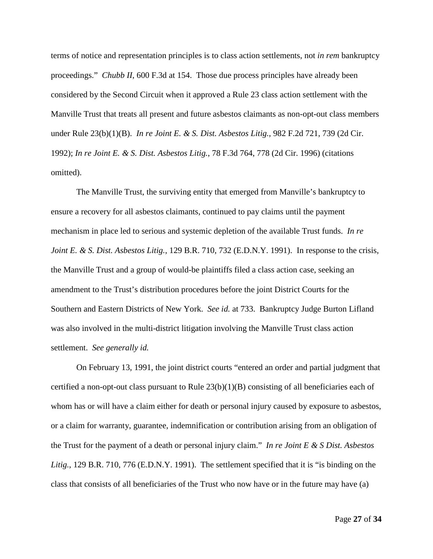terms of notice and representation principles is to class action settlements, not *in rem* bankruptcy proceedings." *Chubb II*, 600 F.3d at 154. Those due process principles have already been considered by the Second Circuit when it approved a Rule 23 class action settlement with the Manville Trust that treats all present and future asbestos claimants as non-opt-out class members under Rule 23(b)(1)(B). *In re Joint E. & S. Dist. Asbestos Litig.*, 982 F.2d 721, 739 (2d Cir. 1992); *In re Joint E. & S. Dist. Asbestos Litig.*, 78 F.3d 764, 778 (2d Cir. 1996) (citations omitted).

The Manville Trust, the surviving entity that emerged from Manville's bankruptcy to ensure a recovery for all asbestos claimants, continued to pay claims until the payment mechanism in place led to serious and systemic depletion of the available Trust funds. *In re Joint E. & S. Dist. Asbestos Litig.*, 129 B.R. 710, 732 (E.D.N.Y. 1991). In response to the crisis, the Manville Trust and a group of would-be plaintiffs filed a class action case, seeking an amendment to the Trust's distribution procedures before the joint District Courts for the Southern and Eastern Districts of New York. *See id.* at 733. Bankruptcy Judge Burton Lifland was also involved in the multi-district litigation involving the Manville Trust class action settlement. *See generally id.*

On February 13, 1991, the joint district courts "entered an order and partial judgment that certified a non-opt-out class pursuant to Rule  $23(b)(1)(B)$  consisting of all beneficiaries each of whom has or will have a claim either for death or personal injury caused by exposure to asbestos, or a claim for warranty, guarantee, indemnification or contribution arising from an obligation of the Trust for the payment of a death or personal injury claim." *In re Joint E & S Dist. Asbestos Litig.*, 129 B.R. 710, 776 (E.D.N.Y. 1991). The settlement specified that it is "is binding on the class that consists of all beneficiaries of the Trust who now have or in the future may have (a)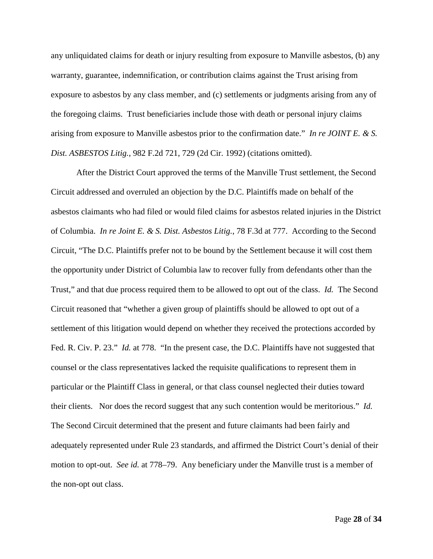any unliquidated claims for death or injury resulting from exposure to Manville asbestos, (b) any warranty, guarantee, indemnification, or contribution claims against the Trust arising from exposure to asbestos by any class member, and (c) settlements or judgments arising from any of the foregoing claims. Trust beneficiaries include those with death or personal injury claims arising from exposure to Manville asbestos prior to the confirmation date." *In re JOINT E. & S. Dist. ASBESTOS Litig.*, 982 F.2d 721, 729 (2d Cir. 1992) (citations omitted).

After the District Court approved the terms of the Manville Trust settlement, the Second Circuit addressed and overruled an objection by the D.C. Plaintiffs made on behalf of the asbestos claimants who had filed or would filed claims for asbestos related injuries in the District of Columbia. *In re Joint E. & S. Dist. Asbestos Litig.*, 78 F.3d at 777. According to the Second Circuit, "The D.C. Plaintiffs prefer not to be bound by the Settlement because it will cost them the opportunity under District of Columbia law to recover fully from defendants other than the Trust," and that due process required them to be allowed to opt out of the class. *Id.* The Second Circuit reasoned that "whether a given group of plaintiffs should be allowed to opt out of a settlement of this litigation would depend on whether they received the protections accorded by Fed. R. Civ. P. 23." *Id.* at 778. "In the present case, the D.C. Plaintiffs have not suggested that counsel or the class representatives lacked the requisite qualifications to represent them in particular or the Plaintiff Class in general, or that class counsel neglected their duties toward their clients. Nor does the record suggest that any such contention would be meritorious." *Id.* The Second Circuit determined that the present and future claimants had been fairly and adequately represented under Rule 23 standards, and affirmed the District Court's denial of their motion to opt-out. *See id.* at 778–79. Any beneficiary under the Manville trust is a member of the non-opt out class.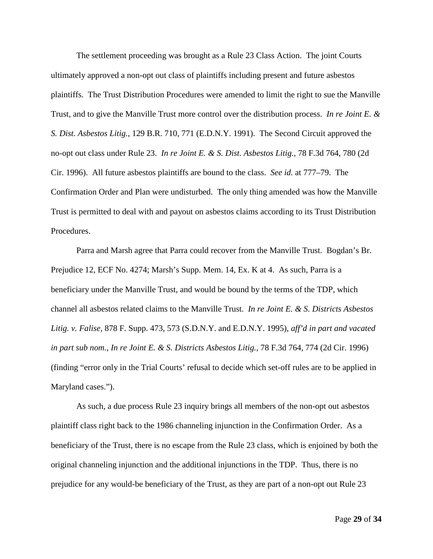The settlement proceeding was brought as a Rule 23 Class Action. The joint Courts ultimately approved a non-opt out class of plaintiffs including present and future asbestos plaintiffs. The Trust Distribution Procedures were amended to limit the right to sue the Manville Trust, and to give the Manville Trust more control over the distribution process. *In re Joint E. & S. Dist. Asbestos Litig.*, 129 B.R. 710, 771 (E.D.N.Y. 1991). The Second Circuit approved the no-opt out class under Rule 23. *In re Joint E. & S. Dist. Asbestos Litig.*, 78 F.3d 764, 780 (2d Cir. 1996). All future asbestos plaintiffs are bound to the class. *See id.* at 777–79. The Confirmation Order and Plan were undisturbed. The only thing amended was how the Manville Trust is permitted to deal with and payout on asbestos claims according to its Trust Distribution Procedures.

Parra and Marsh agree that Parra could recover from the Manville Trust. Bogdan's Br. Prejudice 12, ECF No. 4274; Marsh's Supp. Mem. 14, Ex. K at 4. As such, Parra is a beneficiary under the Manville Trust, and would be bound by the terms of the TDP, which channel all asbestos related claims to the Manville Trust. *In re Joint E. & S. Districts Asbestos Litig. v. Falise*, 878 F. Supp. 473, 573 (S.D.N.Y. and E.D.N.Y. 1995), *aff'd in part and vacated in part sub nom.*, *In re Joint E. & S. Districts Asbestos Litig.*, 78 F.3d 764, 774 (2d Cir. 1996) (finding "error only in the Trial Courts' refusal to decide which set-off rules are to be applied in Maryland cases.").

As such, a due process Rule 23 inquiry brings all members of the non-opt out asbestos plaintiff class right back to the 1986 channeling injunction in the Confirmation Order. As a beneficiary of the Trust, there is no escape from the Rule 23 class, which is enjoined by both the original channeling injunction and the additional injunctions in the TDP. Thus, there is no prejudice for any would-be beneficiary of the Trust, as they are part of a non-opt out Rule 23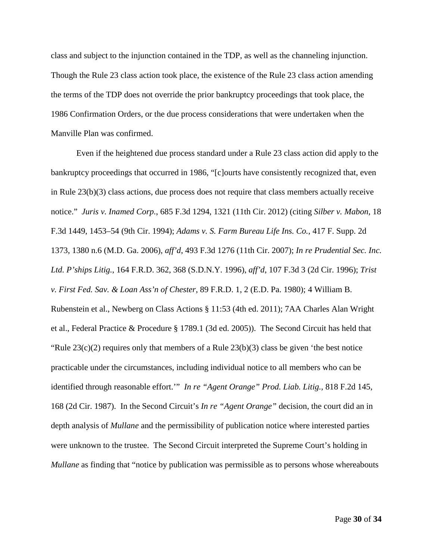class and subject to the injunction contained in the TDP, as well as the channeling injunction. Though the Rule 23 class action took place, the existence of the Rule 23 class action amending the terms of the TDP does not override the prior bankruptcy proceedings that took place, the 1986 Confirmation Orders, or the due process considerations that were undertaken when the Manville Plan was confirmed.

Even if the heightened due process standard under a Rule 23 class action did apply to the bankruptcy proceedings that occurred in 1986, "[c]ourts have consistently recognized that, even in Rule 23(b)(3) class actions, due process does not require that class members actually receive notice." *Juris v. Inamed Corp.*, 685 F.3d 1294, 1321 (11th Cir. 2012) (citing *Silber v. Mabon*, 18 F.3d 1449, 1453–54 (9th Cir. 1994); *Adams v. S. Farm Bureau Life Ins. Co.*, 417 F. Supp. 2d 1373, 1380 n.6 (M.D. Ga. 2006), *aff'd*, 493 F.3d 1276 (11th Cir. 2007); *In re Prudential Sec. Inc. Ltd. P'ships Litig.*, 164 F.R.D. 362, 368 (S.D.N.Y. 1996), *aff'd*, 107 F.3d 3 (2d Cir. 1996); *Trist v. First Fed. Sav. & Loan Ass'n of Chester*, 89 F.R.D. 1, 2 (E.D. Pa. 1980); 4 William B. Rubenstein et al., Newberg on Class Actions § 11:53 (4th ed. 2011); 7AA Charles Alan Wright et al., Federal Practice & Procedure § 1789.1 (3d ed. 2005)). The Second Circuit has held that "Rule  $23(c)(2)$  requires only that members of a Rule  $23(b)(3)$  class be given 'the best notice practicable under the circumstances, including individual notice to all members who can be identified through reasonable effort.'" *In re "Agent Orange" Prod. Liab. Litig.*, 818 F.2d 145, 168 (2d Cir. 1987). In the Second Circuit's *In re "Agent Orange"* decision, the court did an in depth analysis of *Mullane* and the permissibility of publication notice where interested parties were unknown to the trustee. The Second Circuit interpreted the Supreme Court's holding in *Mullane* as finding that "notice by publication was permissible as to persons whose whereabouts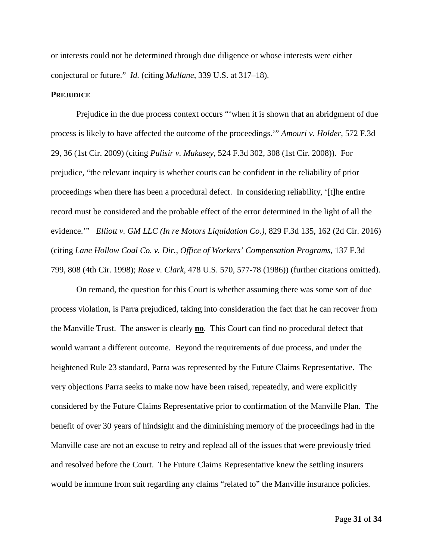or interests could not be determined through due diligence or whose interests were either conjectural or future." *Id.* (citing *Mullane*, 339 U.S. at 317–18).

#### **PREJUDICE**

Prejudice in the due process context occurs "'when it is shown that an abridgment of due process is likely to have affected the outcome of the proceedings.'" *Amouri v. Holder*, 572 F.3d 29, 36 (1st Cir. 2009) (citing *Pulisir v. Mukasey*, 524 F.3d 302, 308 (1st Cir. 2008)). For prejudice, "the relevant inquiry is whether courts can be confident in the reliability of prior proceedings when there has been a procedural defect. In considering reliability, '[t]he entire record must be considered and the probable effect of the error determined in the light of all the evidence.'" *Elliott v. GM LLC (In re Motors Liquidation Co.)*, 829 F.3d 135, 162 (2d Cir. 2016) (citing *Lane Hollow Coal Co. v. Dir., Office of Workers' Compensation Programs*, 137 F.3d 799, 808 (4th Cir. 1998); *Rose v. Clark*, 478 U.S. 570, 577-78 (1986)) (further citations omitted).

On remand, the question for this Court is whether assuming there was some sort of due process violation, is Parra prejudiced, taking into consideration the fact that he can recover from the Manville Trust. The answer is clearly **no**. This Court can find no procedural defect that would warrant a different outcome. Beyond the requirements of due process, and under the heightened Rule 23 standard, Parra was represented by the Future Claims Representative. The very objections Parra seeks to make now have been raised, repeatedly, and were explicitly considered by the Future Claims Representative prior to confirmation of the Manville Plan. The benefit of over 30 years of hindsight and the diminishing memory of the proceedings had in the Manville case are not an excuse to retry and replead all of the issues that were previously tried and resolved before the Court. The Future Claims Representative knew the settling insurers would be immune from suit regarding any claims "related to" the Manville insurance policies.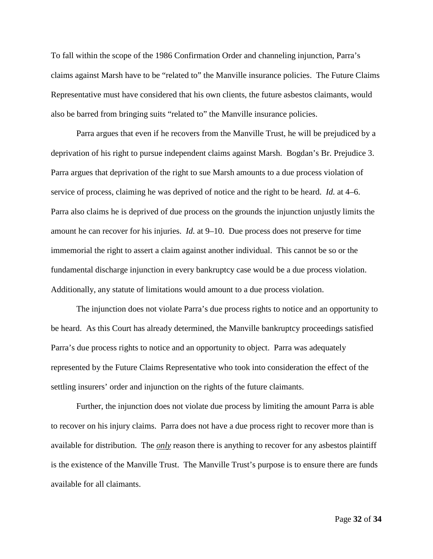To fall within the scope of the 1986 Confirmation Order and channeling injunction, Parra's claims against Marsh have to be "related to" the Manville insurance policies. The Future Claims Representative must have considered that his own clients, the future asbestos claimants, would also be barred from bringing suits "related to" the Manville insurance policies.

Parra argues that even if he recovers from the Manville Trust, he will be prejudiced by a deprivation of his right to pursue independent claims against Marsh. Bogdan's Br. Prejudice 3. Parra argues that deprivation of the right to sue Marsh amounts to a due process violation of service of process, claiming he was deprived of notice and the right to be heard. *Id.* at 4–6. Parra also claims he is deprived of due process on the grounds the injunction unjustly limits the amount he can recover for his injuries. *Id.* at 9–10. Due process does not preserve for time immemorial the right to assert a claim against another individual. This cannot be so or the fundamental discharge injunction in every bankruptcy case would be a due process violation. Additionally, any statute of limitations would amount to a due process violation.

The injunction does not violate Parra's due process rights to notice and an opportunity to be heard. As this Court has already determined, the Manville bankruptcy proceedings satisfied Parra's due process rights to notice and an opportunity to object. Parra was adequately represented by the Future Claims Representative who took into consideration the effect of the settling insurers' order and injunction on the rights of the future claimants.

Further, the injunction does not violate due process by limiting the amount Parra is able to recover on his injury claims. Parra does not have a due process right to recover more than is available for distribution. The *only* reason there is anything to recover for any asbestos plaintiff is the existence of the Manville Trust. The Manville Trust's purpose is to ensure there are funds available for all claimants.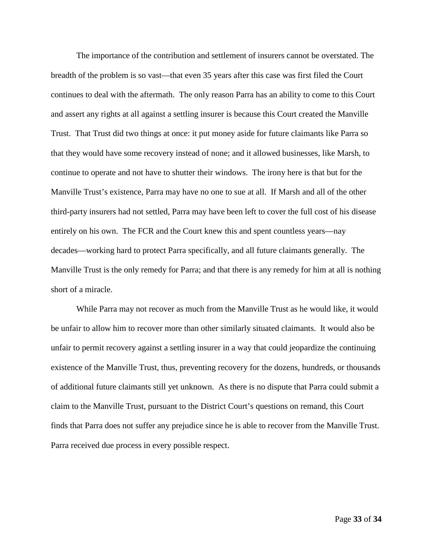The importance of the contribution and settlement of insurers cannot be overstated. The breadth of the problem is so vast—that even 35 years after this case was first filed the Court continues to deal with the aftermath. The only reason Parra has an ability to come to this Court and assert any rights at all against a settling insurer is because this Court created the Manville Trust. That Trust did two things at once: it put money aside for future claimants like Parra so that they would have some recovery instead of none; and it allowed businesses, like Marsh, to continue to operate and not have to shutter their windows. The irony here is that but for the Manville Trust's existence, Parra may have no one to sue at all. If Marsh and all of the other third-party insurers had not settled, Parra may have been left to cover the full cost of his disease entirely on his own. The FCR and the Court knew this and spent countless years—nay decades—working hard to protect Parra specifically, and all future claimants generally. The Manville Trust is the only remedy for Parra; and that there is any remedy for him at all is nothing short of a miracle.

While Parra may not recover as much from the Manville Trust as he would like, it would be unfair to allow him to recover more than other similarly situated claimants. It would also be unfair to permit recovery against a settling insurer in a way that could jeopardize the continuing existence of the Manville Trust, thus, preventing recovery for the dozens, hundreds, or thousands of additional future claimants still yet unknown. As there is no dispute that Parra could submit a claim to the Manville Trust, pursuant to the District Court's questions on remand, this Court finds that Parra does not suffer any prejudice since he is able to recover from the Manville Trust. Parra received due process in every possible respect.